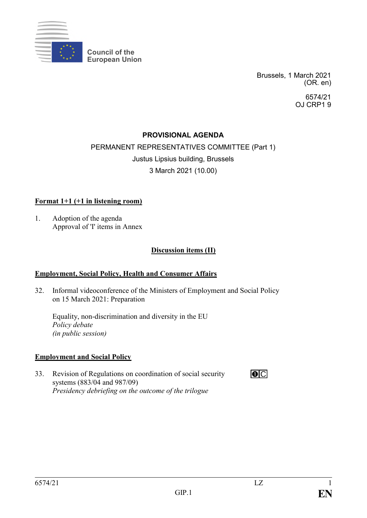

**Council of the European Union**

> Brussels, 1 March 2021 (OR. en)

> > 6574/21 OJ CRP1 9

## **PROVISIONAL AGENDA**

# PERMANENT REPRESENTATIVES COMMITTEE (Part 1) Justus Lipsius building, Brussels 3 March 2021 (10.00)

#### **Format 1+1 (+1 in listening room)**

1. Adoption of the agenda Approval of 'I' items in Annex

#### **Discussion items (II)**

#### **Employment, Social Policy, Health and Consumer Affairs**

32. Informal videoconference of the Ministers of Employment and Social Policy on 15 March 2021: Preparation

Equality, non-discrimination and diversity in the EU *Policy debate (in public session)*

#### **Employment and Social Policy**

33. Revision of Regulations on coordination of social security systems (883/04 and 987/09) *Presidency debriefing on the outcome of the trilogue*

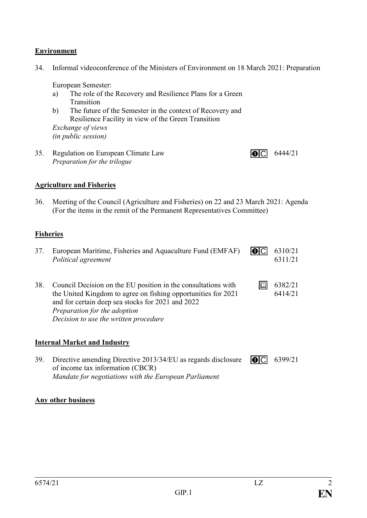## **Environment**

34. Informal videoconference of the Ministers of Environment on 18 March 2021: Preparation

European Semester:

- a) The role of the Recovery and Resilience Plans for a Green **Transition**
- b) The future of the Semester in the context of Recovery and Resilience Facility in view of the Green Transition

*Exchange of views (in public session)*

35. Regulation on European Climate Law *Preparation for the trilogue*

## **Agriculture and Fisheries**

36. Meeting of the Council (Agriculture and Fisheries) on 22 and 23 March 2021: Agenda (For the items in the remit of the Permanent Representatives Committee)

## **Fisheries**

- 37. European Maritime, Fisheries and Aquaculture Fund (EMFAF)  $\overline{10}$ 6310/21 *Political agreement* 6311/21
- 38. Council Decision on the EU position in the consultations with  $\Box$ 6382/21 the United Kingdom to agree on fishing opportunities for 2021 6414/21 and for certain deep sea stocks for 2021 and 2022 *Preparation for the adoption Decision to use the written procedure*

## **Internal Market and Industry**

39. Directive amending Directive 2013/34/EU as regards disclosure of income tax information (CBCR) *Mandate for negotiations with the European Parliament*  $\overline{O}$  6399/21

## **Any other business**

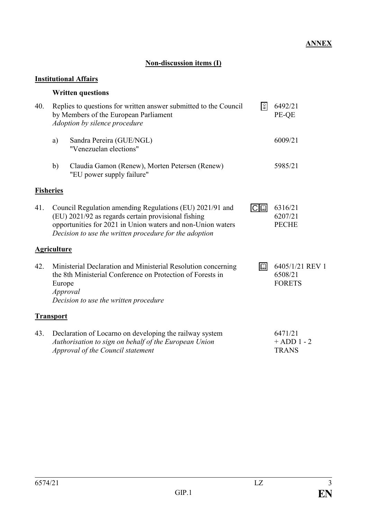# **Non-discussion items (I)**

# **Institutional Affairs**

# **Written questions**

| 40. | $\otimes$<br>Replies to questions for written answer submitted to the Council<br>by Members of the European Parliament<br>Adoption by silence procedure                                                                                                      |                                                                                                                                                       | 6492/21<br>PE-QE |                                             |
|-----|--------------------------------------------------------------------------------------------------------------------------------------------------------------------------------------------------------------------------------------------------------------|-------------------------------------------------------------------------------------------------------------------------------------------------------|------------------|---------------------------------------------|
|     | a)                                                                                                                                                                                                                                                           | Sandra Pereira (GUE/NGL)<br>"Venezuelan elections"                                                                                                    |                  | 6009/21                                     |
|     | b)                                                                                                                                                                                                                                                           | Claudia Gamon (Renew), Morten Petersen (Renew)<br>"EU power supply failure"                                                                           |                  | 5985/21                                     |
|     | <b>Fisheries</b>                                                                                                                                                                                                                                             |                                                                                                                                                       |                  |                                             |
| 41. | Council Regulation amending Regulations (EU) 2021/91 and<br>$ C \mathbb{Q} $<br>(EU) 2021/92 as regards certain provisional fishing<br>opportunities for 2021 in Union waters and non-Union waters<br>Decision to use the written procedure for the adoption |                                                                                                                                                       |                  | 6316/21<br>6207/21<br><b>PECHE</b>          |
|     | <b>Agriculture</b>                                                                                                                                                                                                                                           |                                                                                                                                                       |                  |                                             |
| 42. | Ministerial Declaration and Ministerial Resolution concerning<br>$ \mathbb{Q} $<br>the 8th Ministerial Conference on Protection of Forests in<br>Europe<br>Approval<br>Decision to use the written procedure                                                 |                                                                                                                                                       |                  | 6405/1/21 REV 1<br>6508/21<br><b>FORETS</b> |
|     | <b>Transport</b>                                                                                                                                                                                                                                             |                                                                                                                                                       |                  |                                             |
| 43. |                                                                                                                                                                                                                                                              | Declaration of Locarno on developing the railway system<br>Authorisation to sign on behalf of the European Union<br>Approval of the Council statement |                  | 6471/21<br>$+$ ADD 1 - 2<br><b>TRANS</b>    |